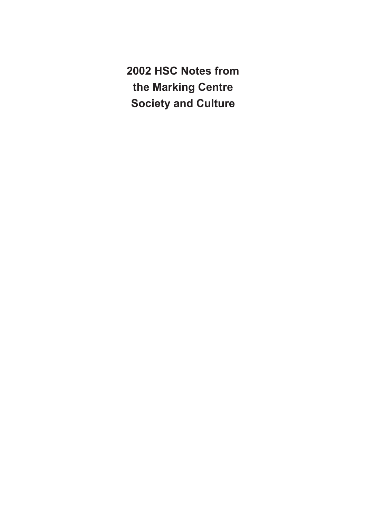**2002 HSC Notes from the Marking Centre Society and Culture**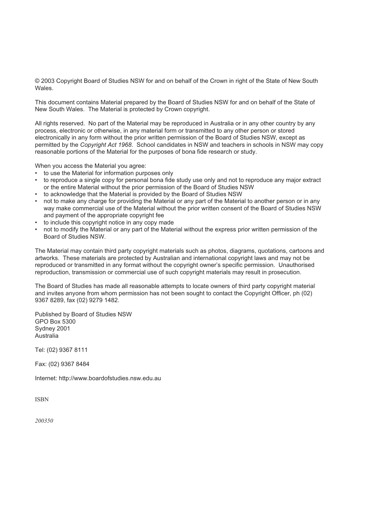© 2003 Copyright Board of Studies NSW for and on behalf of the Crown in right of the State of New South Wales.

This document contains Material prepared by the Board of Studies NSW for and on behalf of the State of New South Wales. The Material is protected by Crown copyright.

All rights reserved. No part of the Material may be reproduced in Australia or in any other country by any process, electronic or otherwise, in any material form or transmitted to any other person or stored electronically in any form without the prior written permission of the Board of Studies NSW, except as permitted by the *Copyright Act 1968*. School candidates in NSW and teachers in schools in NSW may copy reasonable portions of the Material for the purposes of bona fide research or study.

When you access the Material you agree:

- to use the Material for information purposes only
- to reproduce a single copy for personal bona fide study use only and not to reproduce any major extract or the entire Material without the prior permission of the Board of Studies NSW
- to acknowledge that the Material is provided by the Board of Studies NSW
- not to make any charge for providing the Material or any part of the Material to another person or in any way make commercial use of the Material without the prior written consent of the Board of Studies NSW and payment of the appropriate copyright fee
- to include this copyright notice in any copy made
- not to modify the Material or any part of the Material without the express prior written permission of the Board of Studies NSW.

The Material may contain third party copyright materials such as photos, diagrams, quotations, cartoons and artworks. These materials are protected by Australian and international copyright laws and may not be reproduced or transmitted in any format without the copyright owner's specific permission. Unauthorised reproduction, transmission or commercial use of such copyright materials may result in prosecution.

The Board of Studies has made all reasonable attempts to locate owners of third party copyright material and invites anyone from whom permission has not been sought to contact the Copyright Officer, ph (02) 9367 8289, fax (02) 9279 1482.

Published by Board of Studies NSW GPO Box 5300 Sydney 2001 Australia

Tel: (02) 9367 8111

Fax: (02) 9367 8484

Internet: http://www.boardofstudies.nsw.edu.au

ISBN

200350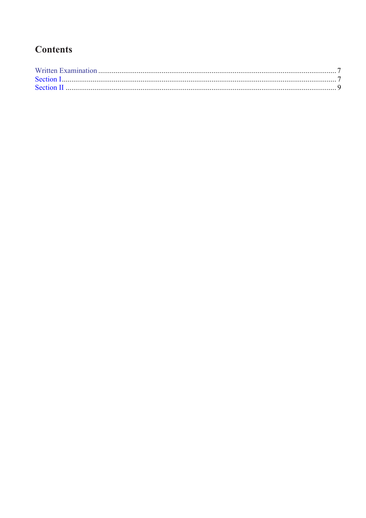## **Contents**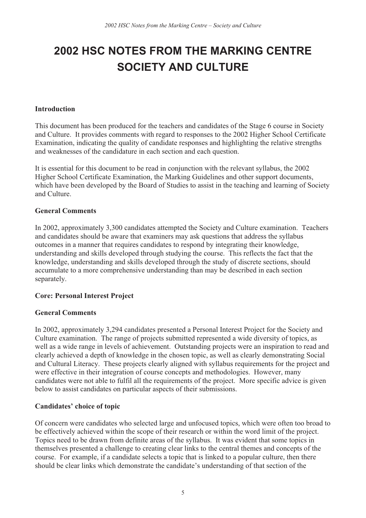## **2002 HSC NOTES FROM THE MARKING CENTRE SOCIETY AND CULTURE**

#### Introduction

This document has been produced for the teachers and candidates of the Stage 6 course in Society and Culture. It provides comments with regard to responses to the 2002 Higher School Certificate Examination, indicating the quality of candidate responses and highlighting the relative strengths and weaknesses of the candidature in each section and each question.

It is essential for this document to be read in conjunction with the relevant syllabus, the 2002 Higher School Certificate Examination, the Marking Guidelines and other support documents, which have been developed by the Board of Studies to assist in the teaching and learning of Society and Culture.

#### General Comments

In 2002, approximately 3,300 candidates attempted the Society and Culture examination. Teachers and candidates should be aware that examiners may ask questions that address the syllabus outcomes in a manner that requires candidates to respond by integrating their knowledge, understanding and skills developed through studying the course. This reflects the fact that the knowledge, understanding and skills developed through the study of discrete sections, should accumulate to a more comprehensive understanding than may be described in each section separately.

#### Core: Personal Interest Project

#### General Comments

In 2002, approximately 3,294 candidates presented a Personal Interest Project for the Society and Culture examination. The range of projects submitted represented a wide diversity of topics, as well as a wide range in levels of achievement. Outstanding projects were an inspiration to read and clearly achieved a depth of knowledge in the chosen topic, as well as clearly demonstrating Social and Cultural Literacy. These projects clearly aligned with syllabus requirements for the project and were effective in their integration of course concepts and methodologies. However, many candidates were not able to fulfil all the requirements of the project. More specific advice is given below to assist candidates on particular aspects of their submissions.

#### Candidates' choice of topic

Of concern were candidates who selected large and unfocused topics, which were often too broad to be effectively achieved within the scope of their research or within the word limit of the project. Topics need to be drawn from definite areas of the syllabus. It was evident that some topics in themselves presented a challenge to creating clear links to the central themes and concepts of the course. For example, if a candidate selects a topic that is linked to a popular culture, then there should be clear links which demonstrate the candidate's understanding of that section of the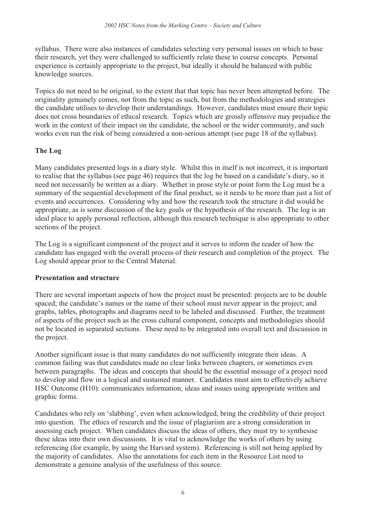syllabus. There were also instances of candidates selecting very personal issues on which to base their research, yet they were challenged to sufficiently relate these to course concepts. Personal experience is certainly appropriate to the project, but ideally it should be balanced with public knowledge sources.

Topics do not need to be original, to the extent that that topic has never been attempted before. The originality genuinely comes, not from the topic as such, but from the methodologies and strategies the candidate utilises to develop their understandings. However, candidates must ensure their topic does not cross boundaries of ethical research. Topics which are grossly offensive may prejudice the work in the context of their impact on the candidate, the school or the wider community, and such works even run the risk of being considered a non-serious attempt (see page 18 of the syllabus).

#### The Log

Many candidates presented logs in a diary style. Whilst this in itself is not incorrect, it is important to realise that the syllabus (see page 46) requires that the log be based on a candidate's diary, so it need not necessarily be written as a diary. Whether in prose style or point form the Log must be a summary of the sequential development of the final product, so it needs to be more than just a list of events and occurrences. Considering why and how the research took the structure it did would be appropriate, as is some discussion of the key goals or the hypothesis of the research. The log is an ideal place to apply personal reflection, although this research technique is also appropriate to other sections of the project.

The Log is a significant component of the project and it serves to inform the reader of how the candidate has engaged with the overall process of their research and completion of the project. The Log should appear prior to the Central Material.

#### Presentation and structure

There are several important aspects of how the project must be presented: projects are to be double spaced; the candidate's names or the name of their school must never appear in the project; and graphs, tables, photographs and diagrams need to be labeled and discussed. Further, the treatment of aspects of the project such as the cross cultural component, concepts and methodologies should not be located in separated sections. These need to be integrated into overall text and discussion in the project.

Another significant issue is that many candidates do not sufficiently integrate their ideas. A common failing was that candidates made no clear links between chapters, or sometimes even between paragraphs. The ideas and concepts that should be the essential message of a project need to develop and flow in a logical and sustained manner. Candidates must aim to effectively achieve HSC Outcome (H10): communicates information, ideas and issues using appropriate written and graphic forms.

Candidates who rely on 'slabbing', even when acknowledged, bring the credibility of their project into question. The ethics of research and the issue of plagiarism are a strong consideration in assessing each project. When candidates discuss the ideas of others, they must try to synthesise these ideas into their own discussions. It is vital to acknowledge the works of others by using referencing (for example, by using the Harvard system). Referencing is still not being applied by the majority of candidates. Also the annotations for each item in the Resource List need to demonstrate a genuine analysis of the usefulness of this source.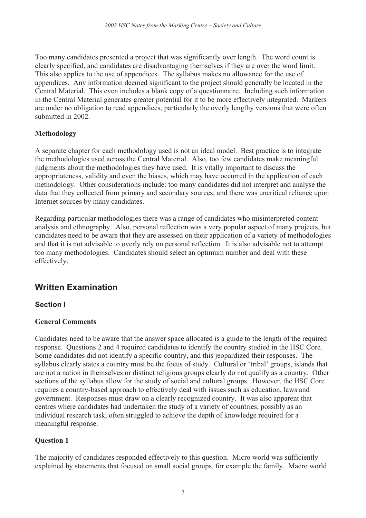Too many candidates presented a project that was significantly over length. The word count is clearly specified, and candidates are disadvantaging themselves if they are over the word limit. This also applies to the use of appendices. The syllabus makes no allowance for the use of appendices. Any information deemed significant to the project should generally be located in the Central Material. This even includes a blank copy of a questionnaire. Including such information in the Central Material generates greater potential for it to be more effectively integrated. Markers are under no obligation to read appendices, particularly the overly lengthy versions that were often submitted in 2002.

## Methodology

A separate chapter for each methodology used is not an ideal model. Best practice is to integrate the methodologies used across the Central Material. Also, too few candidates make meaningful judgments about the methodologies they have used. It is vitally important to discuss the appropriateness, validity and even the biases, which may have occurred in the application of each methodology. Other considerations include: too many candidates did not interpret and analyse the data that they collected from primary and secondary sources; and there was uncritical reliance upon Internet sources by many candidates.

Regarding particular methodologies there was a range of candidates who misinterpreted content analysis and ethnography. Also, personal reflection was a very popular aspect of many projects, but candidates need to be aware that they are assessed on their application of a variety of methodologies and that it is not advisable to overly rely on personal reflection. It is also advisable not to attempt too many methodologies. Candidates should select an optimum number and deal with these effectively.

## **Written Examination**

## **Section I**

## General Comments

Candidates need to be aware that the answer space allocated is a guide to the length of the required response. Questions 2 and 4 required candidates to identify the country studied in the HSC Core. Some candidates did not identify a specific country, and this jeopardized their responses. The syllabus clearly states a country must be the focus of study. Cultural or 'tribal' groups, islands that are not a nation in themselves or distinct religious groups clearly do not qualify as a country. Other sections of the syllabus allow for the study of social and cultural groups. However, the HSC Core requires a country-based approach to effectively deal with issues such as education, laws and government. Responses must draw on a clearly recognized country. It was also apparent that centres where candidates had undertaken the study of a variety of countries, possibly as an individual research task, often struggled to achieve the depth of knowledge required for a meaningful response.

## Question 1

The majority of candidates responded effectively to this question. Micro world was sufficiently explained by statements that focused on small social groups, for example the family. Macro world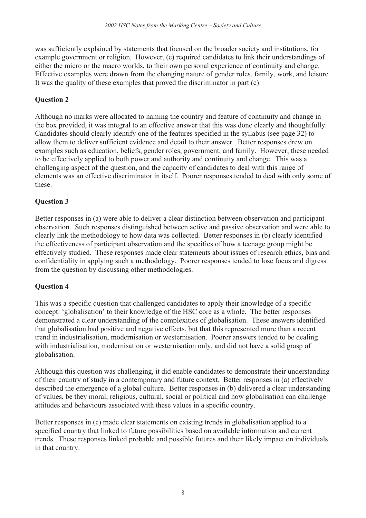was sufficiently explained by statements that focused on the broader society and institutions, for example government or religion. However, (c) required candidates to link their understandings of either the micro or the macro worlds, to their own personal experience of continuity and change. Effective examples were drawn from the changing nature of gender roles, family, work, and leisure. It was the quality of these examples that proved the discriminator in part (c).

#### Question 2

Although no marks were allocated to naming the country and feature of continuity and change in the box provided, it was integral to an effective answer that this was done clearly and thoughtfully. Candidates should clearly identify one of the features specified in the syllabus (see page 32) to allow them to deliver sufficient evidence and detail to their answer. Better responses drew on examples such as education, beliefs, gender roles, government, and family. However, these needed to be effectively applied to both power and authority and continuity and change. This was a challenging aspect of the question, and the capacity of candidates to deal with this range of elements was an effective discriminator in itself. Poorer responses tended to deal with only some of these.

#### Question 3

Better responses in (a) were able to deliver a clear distinction between observation and participant observation. Such responses distinguished between active and passive observation and were able to clearly link the methodology to how data was collected. Better responses in (b) clearly identified the effectiveness of participant observation and the specifics of how a teenage group might be effectively studied. These responses made clear statements about issues of research ethics, bias and confidentiality in applying such a methodology. Poorer responses tended to lose focus and digress from the question by discussing other methodologies.

#### Question 4

This was a specific question that challenged candidates to apply their knowledge of a specific concept: 'globalisation' to their knowledge of the HSC core as a whole. The better responses demonstrated a clear understanding of the complexities of globalisation. These answers identified that globalisation had positive and negative effects, but that this represented more than a recent trend in industrialisation, modernisation or westernisation. Poorer answers tended to be dealing with industrialisation, modernisation or westernisation only, and did not have a solid grasp of globalisation.

Although this question was challenging, it did enable candidates to demonstrate their understanding of their country of study in a contemporary and future context. Better responses in (a) effectively described the emergence of a global culture. Better responses in (b) delivered a clear understanding of values, be they moral, religious, cultural, social or political and how globalisation can challenge attitudes and behaviours associated with these values in a specific country.

Better responses in (c) made clear statements on existing trends in globalisation applied to a specified country that linked to future possibilities based on available information and current trends. These responses linked probable and possible futures and their likely impact on individuals in that country.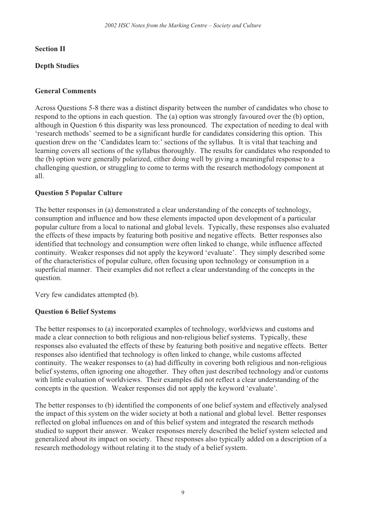#### Section II

## Depth Studies

### General Comments

Across Questions 5-8 there was a distinct disparity between the number of candidates who chose to respond to the options in each question. The (a) option was strongly favoured over the (b) option, although in Question 6 this disparity was less pronounced. The expectation of needing to deal with 'research methods' seemed to be a significant hurdle for candidates considering this option. This question drew on the 'Candidates learn to:' sections of the syllabus. It is vital that teaching and learning covers all sections of the syllabus thoroughly. The results for candidates who responded to the (b) option were generally polarized, either doing well by giving a meaningful response to a challenging question, or struggling to come to terms with the research methodology component at all.

#### Question 5 Popular Culture

The better responses in (a) demonstrated a clear understanding of the concepts of technology, consumption and influence and how these elements impacted upon development of a particular popular culture from a local to national and global levels. Typically, these responses also evaluated the effects of these impacts by featuring both positive and negative effects. Better responses also identified that technology and consumption were often linked to change, while influence affected continuity. Weaker responses did not apply the keyword 'evaluate'. They simply described some of the characteristics of popular culture, often focusing upon technology or consumption in a superficial manner. Their examples did not reflect a clear understanding of the concepts in the question.

Very few candidates attempted (b).

#### Question 6 Belief Systems

The better responses to (a) incorporated examples of technology, worldviews and customs and made a clear connection to both religious and non-religious belief systems. Typically, these responses also evaluated the effects of these by featuring both positive and negative effects. Better responses also identified that technology is often linked to change, while customs affected continuity. The weaker responses to (a) had difficulty in covering both religious and non-religious belief systems, often ignoring one altogether. They often just described technology and/or customs with little evaluation of worldviews. Their examples did not reflect a clear understanding of the concepts in the question. Weaker responses did not apply the keyword 'evaluate'.

The better responses to (b) identified the components of one belief system and effectively analysed the impact of this system on the wider society at both a national and global level. Better responses reflected on global influences on and of this belief system and integrated the research methods studied to support their answer. Weaker responses merely described the belief system selected and generalized about its impact on society. These responses also typically added on a description of a research methodology without relating it to the study of a belief system.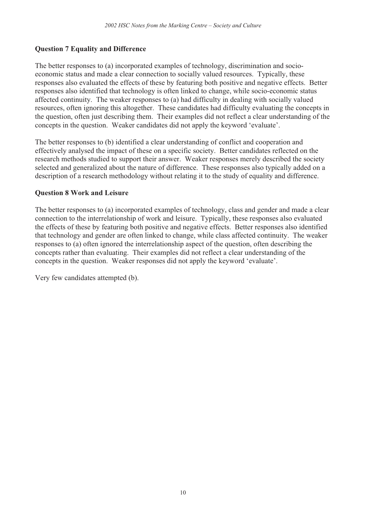#### Question 7 Equality and Difference

The better responses to (a) incorporated examples of technology, discrimination and socioeconomic status and made a clear connection to socially valued resources. Typically, these responses also evaluated the effects of these by featuring both positive and negative effects. Better responses also identified that technology is often linked to change, while socio-economic status affected continuity. The weaker responses to (a) had difficulty in dealing with socially valued resources, often ignoring this altogether. These candidates had difficulty evaluating the concepts in the question, often just describing them. Their examples did not reflect a clear understanding of the concepts in the question. Weaker candidates did not apply the keyword 'evaluate'.

The better responses to (b) identified a clear understanding of conflict and cooperation and effectively analysed the impact of these on a specific society. Better candidates reflected on the research methods studied to support their answer. Weaker responses merely described the society selected and generalized about the nature of difference. These responses also typically added on a description of a research methodology without relating it to the study of equality and difference.

#### Question 8 Work and Leisure

The better responses to (a) incorporated examples of technology, class and gender and made a clear connection to the interrelationship of work and leisure. Typically, these responses also evaluated the effects of these by featuring both positive and negative effects. Better responses also identified that technology and gender are often linked to change, while class affected continuity. The weaker responses to (a) often ignored the interrelationship aspect of the question, often describing the concepts rather than evaluating. Their examples did not reflect a clear understanding of the concepts in the question. Weaker responses did not apply the keyword 'evaluate'.

Very few candidates attempted (b).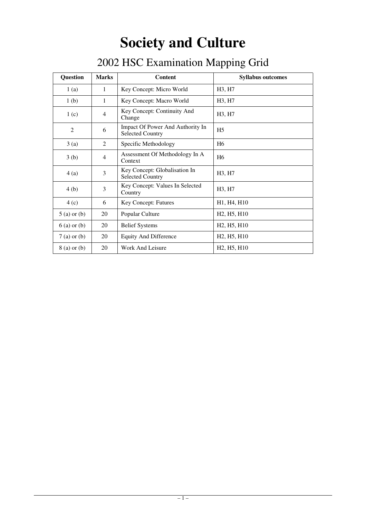# **Society and Culture**

| т г<br>-0        |                |                                                             |                                                   |
|------------------|----------------|-------------------------------------------------------------|---------------------------------------------------|
| <b>Question</b>  | <b>Marks</b>   | <b>Content</b>                                              | <b>Syllabus outcomes</b>                          |
| 1(a)             | $\mathbf{1}$   | Key Concept: Micro World                                    | H <sub>3</sub> , H <sub>7</sub>                   |
| 1 <sub>(b)</sub> | $\mathbf{1}$   | Key Concept: Macro World                                    | H <sub>3</sub> , H <sub>7</sub>                   |
| 1(c)             | $\overline{4}$ | Key Concept: Continuity And<br>Change                       | H <sub>3</sub> , H <sub>7</sub>                   |
| 2                | 6              | Impact Of Power And Authority In<br><b>Selected Country</b> | H <sub>5</sub>                                    |
| 3(a)             | 2              | Specific Methodology                                        | H <sub>6</sub>                                    |
| 3(b)             | $\overline{4}$ | Assessment Of Methodology In A<br>Context                   | H <sub>6</sub>                                    |
| 4(a)             | 3              | Key Concept: Globalisation In<br><b>Selected Country</b>    | H <sub>3</sub> , H <sub>7</sub>                   |
| 4(b)             | 3              | Key Concept: Values In Selected<br>Country                  | H <sub>3</sub> , H <sub>7</sub>                   |
| 4(c)             | 6              | Key Concept: Futures                                        | H <sub>1</sub> , H <sub>4</sub> , H <sub>10</sub> |
| $5$ (a) or (b)   | 20             | Popular Culture                                             | H <sub>2</sub> , H <sub>5</sub> , H <sub>10</sub> |
| $6$ (a) or (b)   | 20             | <b>Belief Systems</b>                                       | H <sub>2</sub> , H <sub>5</sub> , H <sub>10</sub> |

 $7$  (a) or (b) 20 Equity And Difference H2, H5, H10  $8$  (a) or (b) 20 Work And Leisure H2, H5, H10

## 2002 HSC Examination Mapping Grid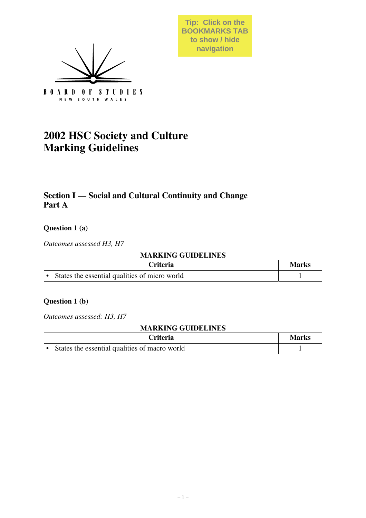

**Tip: Click on the BOOKMARKS TAB to show / hide navigation**

## **2002 HSC Society and Culture Marking Guidelines**

## **Section I — Social and Cultural Continuity and Change Part A**

## **Question 1 (a)**

*Outcomes assessed H3, H7*

#### **MARKING GUIDELINES**

| <b>Criteria</b>                               | <b>Marks</b> |
|-----------------------------------------------|--------------|
| States the essential qualities of micro world |              |

## **Question 1 (b)**

*Outcomes assessed: H3, H7*

| Criteria :                                    | <b>Marks</b> |
|-----------------------------------------------|--------------|
| States the essential qualities of macro world |              |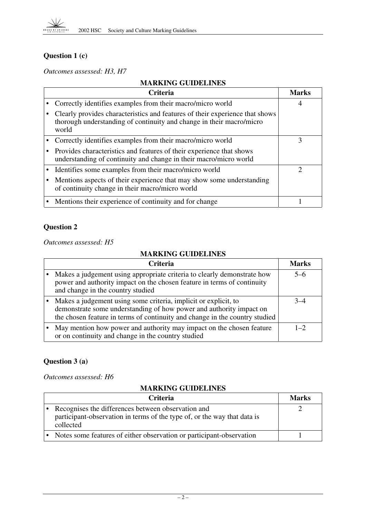

## **Question 1 (c)**

*Outcomes assessed: H3, H7*

## **MARKING GUIDELINES**

| <b>Criteria</b>                                                                                                                                               | Marks |
|---------------------------------------------------------------------------------------------------------------------------------------------------------------|-------|
| Correctly identifies examples from their macro/micro world                                                                                                    | 4     |
| Clearly provides characteristics and features of their experience that shows<br>thorough understanding of continuity and change in their macro/micro<br>world |       |
| Correctly identifies examples from their macro/micro world                                                                                                    | 3     |
| Provides characteristics and features of their experience that shows<br>understanding of continuity and change in their macro/micro world                     |       |
| Identifies some examples from their macro/micro world                                                                                                         | റ     |
| Mentions aspects of their experience that may show some understanding<br>of continuity change in their macro/micro world                                      |       |
| Mentions their experience of continuity and for change                                                                                                        |       |

## **Question 2**

*Outcomes assessed: H5*

## **MARKING GUIDELINES**

| <b>Criteria</b>                                                                                                                                                                                                       | <b>Marks</b> |
|-----------------------------------------------------------------------------------------------------------------------------------------------------------------------------------------------------------------------|--------------|
| Makes a judgement using appropriate criteria to clearly demonstrate how<br>power and authority impact on the chosen feature in terms of continuity<br>and change in the country studied                               | $5-6$        |
| Makes a judgement using some criteria, implicit or explicit, to<br>demonstrate some understanding of how power and authority impact on<br>the chosen feature in terms of continuity and change in the country studied |              |
| May mention how power and authority may impact on the chosen feature<br>or on continuity and change in the country studied                                                                                            | $1\quad$     |

## **Question 3 (a)**

*Outcomes assessed: H6*

| <b>Criteria</b>                                                                                                                             | <b>Marks</b> |
|---------------------------------------------------------------------------------------------------------------------------------------------|--------------|
| Recognises the differences between observation and<br>participant-observation in terms of the type of, or the way that data is<br>collected |              |
| • Notes some features of either observation or participant-observation                                                                      |              |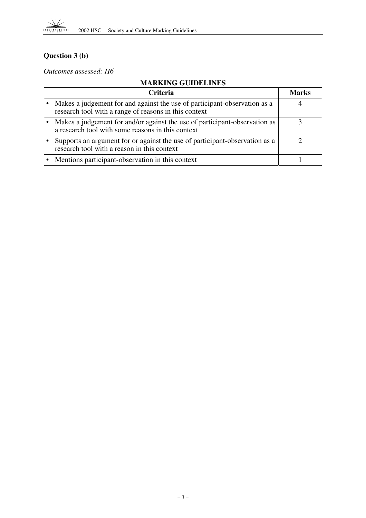

## **Question 3 (b)**

*Outcomes assessed: H6*

| Criteria                                                                                                                           | <b>Marks</b> |
|------------------------------------------------------------------------------------------------------------------------------------|--------------|
| Makes a judgement for and against the use of participant-observation as a<br>research tool with a range of reasons in this context |              |
| Makes a judgement for and/or against the use of participant-observation as<br>a research tool with some reasons in this context    |              |
| Supports an argument for or against the use of participant-observation as a<br>research tool with a reason in this context         |              |
| Mentions participant-observation in this context                                                                                   |              |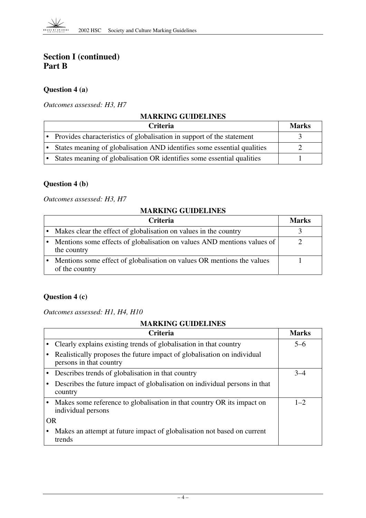## **Section I (continued) Part B**

## **Question 4 (a)**

#### *Outcomes assessed: H3, H7*

## **MARKING GUIDELINES**

| Criteria                                                                | <b>Marks</b> |
|-------------------------------------------------------------------------|--------------|
| • Provides characteristics of globalisation in support of the statement |              |
| States meaning of globalisation AND identifies some essential qualities |              |
| States meaning of globalisation OR identifies some essential qualities  |              |

## **Question 4 (b)**

#### *Outcomes assessed: H3, H7*

#### **MARKING GUIDELINES**

| <b>Criteria</b>                                                                          | <b>Marks</b> |
|------------------------------------------------------------------------------------------|--------------|
| Makes clear the effect of globalisation on values in the country                         |              |
| Mentions some effects of globalisation on values AND mentions values of<br>the country   |              |
| Mentions some effect of globalisation on values OR mentions the values<br>of the country |              |

## **Question 4 (c)**

*Outcomes assessed: H1, H4, H10*

|           | <b>Criteria</b>                                                                                    | <b>Marks</b> |
|-----------|----------------------------------------------------------------------------------------------------|--------------|
|           | Clearly explains existing trends of globalisation in that country                                  | $5-6$        |
|           | Realistically proposes the future impact of globalisation on individual<br>persons in that country |              |
|           | Describes trends of globalisation in that country                                                  | $3 - 4$      |
|           | Describes the future impact of globalisation on individual persons in that<br>country              |              |
|           | Makes some reference to globalisation in that country OR its impact on<br>individual persons       | $1 - 2$      |
| <b>OR</b> |                                                                                                    |              |
|           | Makes an attempt at future impact of globalisation not based on current<br>trends                  |              |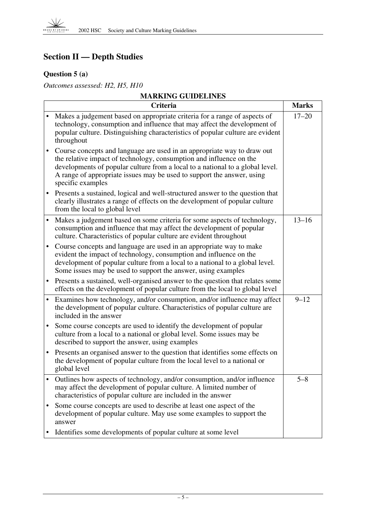## **Section II — Depth Studies**

## **Question 5 (a)**

*Outcomes assessed: H2, H5, H10*

|           | <b>MARKING GUIDELINES</b>                                                                                                                                                                                                                                                                                                      |              |  |
|-----------|--------------------------------------------------------------------------------------------------------------------------------------------------------------------------------------------------------------------------------------------------------------------------------------------------------------------------------|--------------|--|
|           | Criteria                                                                                                                                                                                                                                                                                                                       | <b>Marks</b> |  |
|           | Makes a judgement based on appropriate criteria for a range of aspects of<br>technology, consumption and influence that may affect the development of<br>popular culture. Distinguishing characteristics of popular culture are evident<br>throughout                                                                          | $17 - 20$    |  |
|           | Course concepts and language are used in an appropriate way to draw out<br>the relative impact of technology, consumption and influence on the<br>developments of popular culture from a local to a national to a global level.<br>A range of appropriate issues may be used to support the answer, using<br>specific examples |              |  |
| ٠         | Presents a sustained, logical and well-structured answer to the question that<br>clearly illustrates a range of effects on the development of popular culture<br>from the local to global level                                                                                                                                |              |  |
|           | Makes a judgement based on some criteria for some aspects of technology,<br>consumption and influence that may affect the development of popular<br>culture. Characteristics of popular culture are evident throughout                                                                                                         | $13 - 16$    |  |
| $\bullet$ | Course concepts and language are used in an appropriate way to make<br>evident the impact of technology, consumption and influence on the<br>development of popular culture from a local to a national to a global level.<br>Some issues may be used to support the answer, using examples                                     |              |  |
| $\bullet$ | Presents a sustained, well-organised answer to the question that relates some<br>effects on the development of popular culture from the local to global level                                                                                                                                                                  |              |  |
|           | Examines how technology, and/or consumption, and/or influence may affect<br>the development of popular culture. Characteristics of popular culture are<br>included in the answer                                                                                                                                               | $9 - 12$     |  |
|           | Some course concepts are used to identify the development of popular<br>culture from a local to a national or global level. Some issues may be<br>described to support the answer, using examples                                                                                                                              |              |  |
| $\bullet$ | Presents an organised answer to the question that identifies some effects on<br>the development of popular culture from the local level to a national or<br>global level                                                                                                                                                       |              |  |
|           | Outlines how aspects of technology, and/or consumption, and/or influence<br>may affect the development of popular culture. A limited number of<br>characteristics of popular culture are included in the answer                                                                                                                | $5 - 8$      |  |
|           | Some course concepts are used to describe at least one aspect of the<br>development of popular culture. May use some examples to support the<br>answer                                                                                                                                                                         |              |  |
|           | Identifies some developments of popular culture at some level                                                                                                                                                                                                                                                                  |              |  |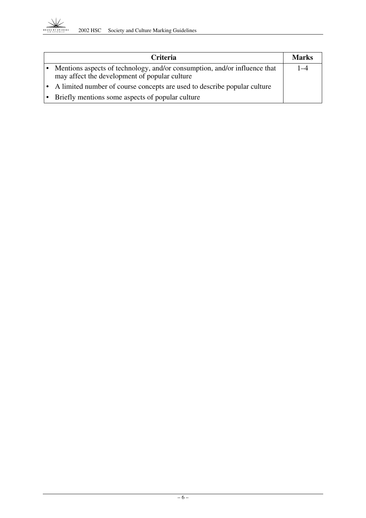

| <b>Criteria</b>                                                                                                            | <b>Marks</b> |
|----------------------------------------------------------------------------------------------------------------------------|--------------|
| Mentions aspects of technology, and/or consumption, and/or influence that<br>may affect the development of popular culture | $1 - 4$      |
| • A limited number of course concepts are used to describe popular culture                                                 |              |
| • Briefly mentions some aspects of popular culture                                                                         |              |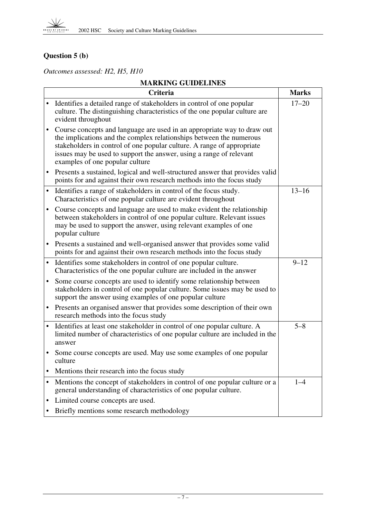## **Question 5 (b)**

*Outcomes assessed: H2, H5, H10*

|           | <b>Criteria</b>                                                                                                                                                                                                                                                                                                                    | <b>Marks</b> |
|-----------|------------------------------------------------------------------------------------------------------------------------------------------------------------------------------------------------------------------------------------------------------------------------------------------------------------------------------------|--------------|
|           | Identifies a detailed range of stakeholders in control of one popular<br>culture. The distinguishing characteristics of the one popular culture are<br>evident throughout                                                                                                                                                          | $17 - 20$    |
| $\bullet$ | Course concepts and language are used in an appropriate way to draw out<br>the implications and the complex relationships between the numerous<br>stakeholders in control of one popular culture. A range of appropriate<br>issues may be used to support the answer, using a range of relevant<br>examples of one popular culture |              |
| ٠         | Presents a sustained, logical and well-structured answer that provides valid<br>points for and against their own research methods into the focus study                                                                                                                                                                             |              |
| $\bullet$ | Identifies a range of stakeholders in control of the focus study.<br>Characteristics of one popular culture are evident throughout                                                                                                                                                                                                 | $13 - 16$    |
|           | Course concepts and language are used to make evident the relationship<br>between stakeholders in control of one popular culture. Relevant issues<br>may be used to support the answer, using relevant examples of one<br>popular culture                                                                                          |              |
| $\bullet$ | Presents a sustained and well-organised answer that provides some valid<br>points for and against their own research methods into the focus study                                                                                                                                                                                  |              |
|           | Identifies some stakeholders in control of one popular culture.<br>Characteristics of the one popular culture are included in the answer                                                                                                                                                                                           | $9 - 12$     |
|           | Some course concepts are used to identify some relationship between<br>stakeholders in control of one popular culture. Some issues may be used to<br>support the answer using examples of one popular culture                                                                                                                      |              |
| $\bullet$ | Presents an organised answer that provides some description of their own<br>research methods into the focus study                                                                                                                                                                                                                  |              |
|           | Identifies at least one stakeholder in control of one popular culture. A<br>limited number of characteristics of one popular culture are included in the<br>answer                                                                                                                                                                 | $5 - 8$      |
|           | Some course concepts are used. May use some examples of one popular<br>culture                                                                                                                                                                                                                                                     |              |
|           | Mentions their research into the focus study                                                                                                                                                                                                                                                                                       |              |
| ٠         | Mentions the concept of stakeholders in control of one popular culture or a<br>general understanding of characteristics of one popular culture.                                                                                                                                                                                    | $1 - 4$      |
|           | Limited course concepts are used.                                                                                                                                                                                                                                                                                                  |              |
|           | Briefly mentions some research methodology                                                                                                                                                                                                                                                                                         |              |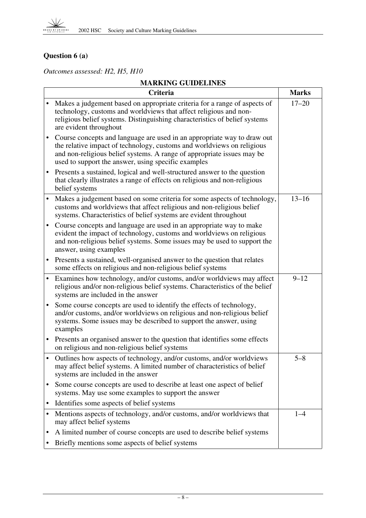## **Question 6 (a)**

*Outcomes assessed: H2, H5, H10*

|           | <b>Criteria</b>                                                                                                                                                                                                                                                                    | <b>Marks</b> |
|-----------|------------------------------------------------------------------------------------------------------------------------------------------------------------------------------------------------------------------------------------------------------------------------------------|--------------|
| $\bullet$ | Makes a judgement based on appropriate criteria for a range of aspects of<br>technology, customs and worldviews that affect religious and non-<br>religious belief systems. Distinguishing characteristics of belief systems<br>are evident throughout                             | $17 - 20$    |
| $\bullet$ | Course concepts and language are used in an appropriate way to draw out<br>the relative impact of technology, customs and worldviews on religious<br>and non-religious belief systems. A range of appropriate issues may be<br>used to support the answer, using specific examples |              |
| $\bullet$ | Presents a sustained, logical and well-structured answer to the question<br>that clearly illustrates a range of effects on religious and non-religious<br>belief systems                                                                                                           |              |
| $\bullet$ | Makes a judgement based on some criteria for some aspects of technology,<br>customs and worldviews that affect religious and non-religious belief<br>systems. Characteristics of belief systems are evident throughout                                                             | $13 - 16$    |
| $\bullet$ | Course concepts and language are used in an appropriate way to make<br>evident the impact of technology, customs and worldviews on religious<br>and non-religious belief systems. Some issues may be used to support the<br>answer, using examples                                 |              |
| $\bullet$ | Presents a sustained, well-organised answer to the question that relates<br>some effects on religious and non-religious belief systems                                                                                                                                             |              |
| $\bullet$ | Examines how technology, and/or customs, and/or worldviews may affect<br>religious and/or non-religious belief systems. Characteristics of the belief<br>systems are included in the answer                                                                                        | $9 - 12$     |
| $\bullet$ | Some course concepts are used to identify the effects of technology,<br>and/or customs, and/or worldviews on religious and non-religious belief<br>systems. Some issues may be described to support the answer, using<br>examples                                                  |              |
| $\bullet$ | Presents an organised answer to the question that identifies some effects<br>on religious and non-religious belief systems                                                                                                                                                         |              |
| $\bullet$ | Outlines how aspects of technology, and/or customs, and/or worldviews<br>may affect belief systems. A limited number of characteristics of belief<br>systems are included in the answer                                                                                            | $5 - 8$      |
| $\bullet$ | Some course concepts are used to describe at least one aspect of belief<br>systems. May use some examples to support the answer                                                                                                                                                    |              |
| $\bullet$ | Identifies some aspects of belief systems                                                                                                                                                                                                                                          |              |
| $\bullet$ | Mentions aspects of technology, and/or customs, and/or worldviews that<br>may affect belief systems                                                                                                                                                                                | $1 - 4$      |
| ٠         | A limited number of course concepts are used to describe belief systems                                                                                                                                                                                                            |              |
|           | Briefly mentions some aspects of belief systems                                                                                                                                                                                                                                    |              |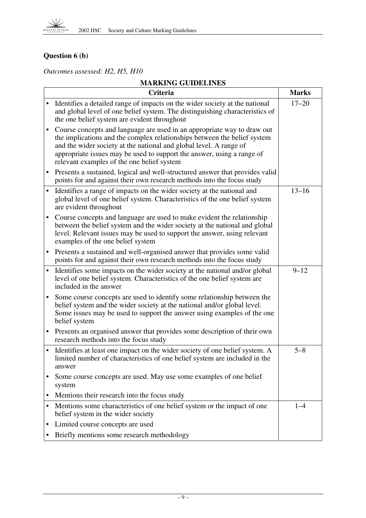## **Question 6 (b)**

*Outcomes assessed: H2, H5, H10*

|           | Criteria                                                                                                                                                                                                                                                                                                                                          | <b>Marks</b> |
|-----------|---------------------------------------------------------------------------------------------------------------------------------------------------------------------------------------------------------------------------------------------------------------------------------------------------------------------------------------------------|--------------|
| $\bullet$ | Identifies a detailed range of impacts on the wider society at the national<br>and global level of one belief system. The distinguishing characteristics of<br>the one belief system are evident throughout                                                                                                                                       | $17 - 20$    |
| $\bullet$ | Course concepts and language are used in an appropriate way to draw out<br>the implications and the complex relationships between the belief system<br>and the wider society at the national and global level. A range of<br>appropriate issues may be used to support the answer, using a range of<br>relevant examples of the one belief system |              |
| $\bullet$ | Presents a sustained, logical and well-structured answer that provides valid<br>points for and against their own research methods into the focus study                                                                                                                                                                                            |              |
| $\bullet$ | Identifies a range of impacts on the wider society at the national and<br>global level of one belief system. Characteristics of the one belief system<br>are evident throughout                                                                                                                                                                   | $13 - 16$    |
| $\bullet$ | Course concepts and language are used to make evident the relationship<br>between the belief system and the wider society at the national and global<br>level. Relevant issues may be used to support the answer, using relevant<br>examples of the one belief system                                                                             |              |
| $\bullet$ | Presents a sustained and well-organised answer that provides some valid<br>points for and against their own research methods into the focus study                                                                                                                                                                                                 |              |
| $\bullet$ | Identifies some impacts on the wider society at the national and/or global<br>level of one belief system. Characteristics of the one belief system are<br>included in the answer                                                                                                                                                                  | $9 - 12$     |
| $\bullet$ | Some course concepts are used to identify some relationship between the<br>belief system and the wider society at the national and/or global level.<br>Some issues may be used to support the answer using examples of the one<br>belief system                                                                                                   |              |
| $\bullet$ | Presents an organised answer that provides some description of their own<br>research methods into the focus study                                                                                                                                                                                                                                 |              |
| $\bullet$ | Identifies at least one impact on the wider society of one belief system. A<br>limited number of characteristics of one belief system are included in the<br>answer                                                                                                                                                                               | $5 - 8$      |
|           | Some course concepts are used. May use some examples of one belief<br>system                                                                                                                                                                                                                                                                      |              |
| $\bullet$ | Mentions their research into the focus study                                                                                                                                                                                                                                                                                                      |              |
| $\bullet$ | Mentions some characteristics of one belief system or the impact of one<br>belief system in the wider society                                                                                                                                                                                                                                     | $1 - 4$      |
| $\bullet$ | Limited course concepts are used                                                                                                                                                                                                                                                                                                                  |              |
|           | Briefly mentions some research methodology                                                                                                                                                                                                                                                                                                        |              |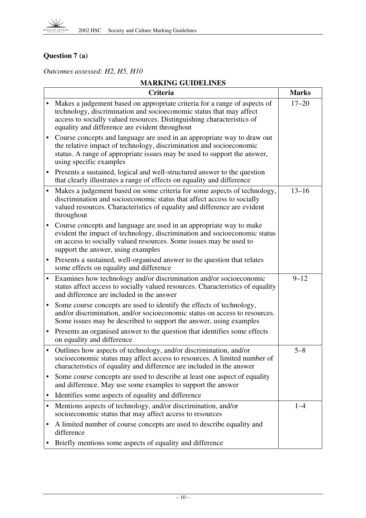## **Question 7 (a)**

*Outcomes assessed: H2, H5, H10*

|           | Criteria                                                                                                                                                                                                                                                                     | <b>Marks</b> |
|-----------|------------------------------------------------------------------------------------------------------------------------------------------------------------------------------------------------------------------------------------------------------------------------------|--------------|
|           | Makes a judgement based on appropriate criteria for a range of aspects of<br>technology, discrimination and socioeconomic status that may affect<br>access to socially valued resources. Distinguishing characteristics of<br>equality and difference are evident throughout | $17 - 20$    |
|           | Course concepts and language are used in an appropriate way to draw out<br>the relative impact of technology, discrimination and socioeconomic<br>status. A range of appropriate issues may be used to support the answer,<br>using specific examples                        |              |
|           | Presents a sustained, logical and well-structured answer to the question<br>that clearly illustrates a range of effects on equality and difference                                                                                                                           |              |
|           | Makes a judgement based on some criteria for some aspects of technology,<br>discrimination and socioeconomic status that affect access to socially<br>valued resources. Characteristics of equality and difference are evident<br>throughout                                 | $13 - 16$    |
|           | Course concepts and language are used in an appropriate way to make<br>evident the impact of technology, discrimination and socioeconomic status<br>on access to socially valued resources. Some issues may be used to<br>support the answer, using examples                 |              |
| $\bullet$ | Presents a sustained, well-organised answer to the question that relates<br>some effects on equality and difference                                                                                                                                                          |              |
| $\bullet$ | Examines how technology and/or discrimination and/or socioeconomic<br>status affect access to socially valued resources. Characteristics of equality<br>and difference are included in the answer                                                                            | $9 - 12$     |
|           | Some course concepts are used to identify the effects of technology,<br>and/or discrimination, and/or socioeconomic status on access to resources.<br>Some issues may be described to support the answer, using examples                                                     |              |
| $\bullet$ | Presents an organised answer to the question that identifies some effects<br>on equality and difference                                                                                                                                                                      |              |
| $\bullet$ | Outlines how aspects of technology, and/or discrimination, and/or<br>socioeconomic status may affect access to resources. A limited number of<br>characteristics of equality and difference are included in the answer                                                       | $5 - 8$      |
| ٠         | Some course concepts are used to describe at least one aspect of equality<br>and difference. May use some examples to support the answer                                                                                                                                     |              |
| ٠         | Identifies some aspects of equality and difference                                                                                                                                                                                                                           |              |
|           | Mentions aspects of technology, and/or discrimination, and/or<br>socioeconomic status that may affect access to resources                                                                                                                                                    | $1 - 4$      |
|           | A limited number of course concepts are used to describe equality and<br>difference                                                                                                                                                                                          |              |
|           | Briefly mentions some aspects of equality and difference                                                                                                                                                                                                                     |              |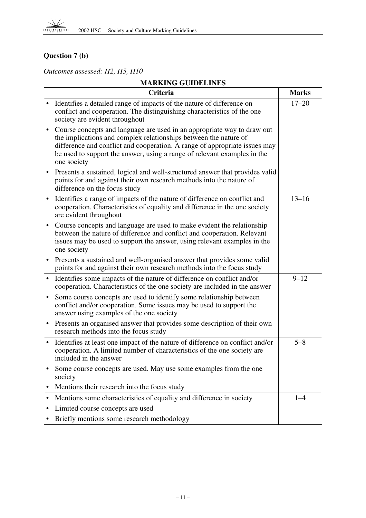## **Question 7 (b)**

*Outcomes assessed: H2, H5, H10*

|           | <b>Criteria</b>                                                                                                                                                                                                                                                                                                      | <b>Marks</b> |
|-----------|----------------------------------------------------------------------------------------------------------------------------------------------------------------------------------------------------------------------------------------------------------------------------------------------------------------------|--------------|
| $\bullet$ | Identifies a detailed range of impacts of the nature of difference on<br>conflict and cooperation. The distinguishing characteristics of the one<br>society are evident throughout                                                                                                                                   | $17 - 20$    |
| $\bullet$ | Course concepts and language are used in an appropriate way to draw out<br>the implications and complex relationships between the nature of<br>difference and conflict and cooperation. A range of appropriate issues may<br>be used to support the answer, using a range of relevant examples in the<br>one society |              |
| $\bullet$ | Presents a sustained, logical and well-structured answer that provides valid<br>points for and against their own research methods into the nature of<br>difference on the focus study                                                                                                                                |              |
| $\bullet$ | Identifies a range of impacts of the nature of difference on conflict and<br>cooperation. Characteristics of equality and difference in the one society<br>are evident throughout                                                                                                                                    | $13 - 16$    |
| $\bullet$ | Course concepts and language are used to make evident the relationship<br>between the nature of difference and conflict and cooperation. Relevant<br>issues may be used to support the answer, using relevant examples in the<br>one society                                                                         |              |
| $\bullet$ | Presents a sustained and well-organised answer that provides some valid<br>points for and against their own research methods into the focus study                                                                                                                                                                    |              |
| $\bullet$ | Identifies some impacts of the nature of difference on conflict and/or<br>cooperation. Characteristics of the one society are included in the answer                                                                                                                                                                 | $9 - 12$     |
| $\bullet$ | Some course concepts are used to identify some relationship between<br>conflict and/or cooperation. Some issues may be used to support the<br>answer using examples of the one society                                                                                                                               |              |
| $\bullet$ | Presents an organised answer that provides some description of their own<br>research methods into the focus study                                                                                                                                                                                                    |              |
| $\bullet$ | Identifies at least one impact of the nature of difference on conflict and/or<br>cooperation. A limited number of characteristics of the one society are<br>included in the answer                                                                                                                                   | $5 - 8$      |
|           | Some course concepts are used. May use some examples from the one<br>society                                                                                                                                                                                                                                         |              |
| ٠         | Mentions their research into the focus study                                                                                                                                                                                                                                                                         |              |
| ٠         | Mentions some characteristics of equality and difference in society                                                                                                                                                                                                                                                  | $1 - 4$      |
|           | Limited course concepts are used                                                                                                                                                                                                                                                                                     |              |
|           | Briefly mentions some research methodology                                                                                                                                                                                                                                                                           |              |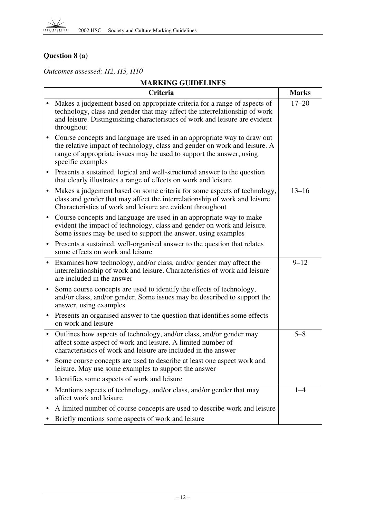## **Question 8 (a)**

*Outcomes assessed: H2, H5, H10*

|           | Criteria                                                                                                                                                                                                                                             | <b>Marks</b> |
|-----------|------------------------------------------------------------------------------------------------------------------------------------------------------------------------------------------------------------------------------------------------------|--------------|
|           | Makes a judgement based on appropriate criteria for a range of aspects of<br>technology, class and gender that may affect the interrelationship of work<br>and leisure. Distinguishing characteristics of work and leisure are evident<br>throughout | $17 - 20$    |
|           | Course concepts and language are used in an appropriate way to draw out<br>the relative impact of technology, class and gender on work and leisure. A<br>range of appropriate issues may be used to support the answer, using<br>specific examples   |              |
| $\bullet$ | Presents a sustained, logical and well-structured answer to the question<br>that clearly illustrates a range of effects on work and leisure                                                                                                          |              |
|           | Makes a judgement based on some criteria for some aspects of technology,<br>class and gender that may affect the interrelationship of work and leisure.<br>Characteristics of work and leisure are evident throughout                                | $13 - 16$    |
|           | Course concepts and language are used in an appropriate way to make<br>evident the impact of technology, class and gender on work and leisure.<br>Some issues may be used to support the answer, using examples                                      |              |
| $\bullet$ | Presents a sustained, well-organised answer to the question that relates<br>some effects on work and leisure                                                                                                                                         |              |
| $\bullet$ | Examines how technology, and/or class, and/or gender may affect the<br>interrelationship of work and leisure. Characteristics of work and leisure<br>are included in the answer                                                                      | $9 - 12$     |
|           | Some course concepts are used to identify the effects of technology,<br>and/or class, and/or gender. Some issues may be described to support the<br>answer, using examples                                                                           |              |
| ٠         | Presents an organised answer to the question that identifies some effects<br>on work and leisure                                                                                                                                                     |              |
|           | Outlines how aspects of technology, and/or class, and/or gender may<br>affect some aspect of work and leisure. A limited number of<br>characteristics of work and leisure are included in the answer                                                 | $5 - 8$      |
|           | Some course concepts are used to describe at least one aspect work and<br>leisure. May use some examples to support the answer                                                                                                                       |              |
| ٠         | Identifies some aspects of work and leisure                                                                                                                                                                                                          |              |
| $\bullet$ | Mentions aspects of technology, and/or class, and/or gender that may<br>affect work and leisure                                                                                                                                                      | $1 - 4$      |
| ٠         | A limited number of course concepts are used to describe work and leisure                                                                                                                                                                            |              |
|           | Briefly mentions some aspects of work and leisure                                                                                                                                                                                                    |              |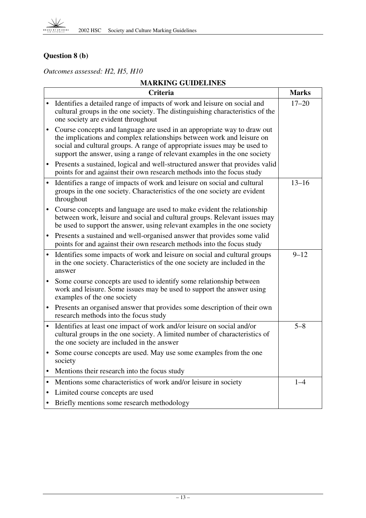## **Question 8 (b)**

*Outcomes assessed: H2, H5, H10*

|           | <b>Criteria</b>                                                                                                                                                                                                                                                                                            | <b>Marks</b> |
|-----------|------------------------------------------------------------------------------------------------------------------------------------------------------------------------------------------------------------------------------------------------------------------------------------------------------------|--------------|
|           | Identifies a detailed range of impacts of work and leisure on social and<br>cultural groups in the one society. The distinguishing characteristics of the<br>one society are evident throughout                                                                                                            | $17 - 20$    |
|           | Course concepts and language are used in an appropriate way to draw out<br>the implications and complex relationships between work and leisure on<br>social and cultural groups. A range of appropriate issues may be used to<br>support the answer, using a range of relevant examples in the one society |              |
|           | Presents a sustained, logical and well-structured answer that provides valid<br>points for and against their own research methods into the focus study                                                                                                                                                     |              |
| $\bullet$ | Identifies a range of impacts of work and leisure on social and cultural<br>groups in the one society. Characteristics of the one society are evident<br>throughout                                                                                                                                        | $13 - 16$    |
|           | Course concepts and language are used to make evident the relationship<br>between work, leisure and social and cultural groups. Relevant issues may<br>be used to support the answer, using relevant examples in the one society                                                                           |              |
|           | Presents a sustained and well-organised answer that provides some valid<br>points for and against their own research methods into the focus study                                                                                                                                                          |              |
|           | Identifies some impacts of work and leisure on social and cultural groups<br>in the one society. Characteristics of the one society are included in the<br>answer                                                                                                                                          | $9 - 12$     |
| $\bullet$ | Some course concepts are used to identify some relationship between<br>work and leisure. Some issues may be used to support the answer using<br>examples of the one society                                                                                                                                |              |
|           | Presents an organised answer that provides some description of their own<br>research methods into the focus study                                                                                                                                                                                          |              |
| $\bullet$ | Identifies at least one impact of work and/or leisure on social and/or<br>cultural groups in the one society. A limited number of characteristics of<br>the one society are included in the answer                                                                                                         | $5 - 8$      |
| $\bullet$ | Some course concepts are used. May use some examples from the one<br>society                                                                                                                                                                                                                               |              |
| $\bullet$ | Mentions their research into the focus study                                                                                                                                                                                                                                                               |              |
|           | Mentions some characteristics of work and/or leisure in society                                                                                                                                                                                                                                            | $1 - 4$      |
|           | Limited course concepts are used                                                                                                                                                                                                                                                                           |              |
|           | Briefly mentions some research methodology                                                                                                                                                                                                                                                                 |              |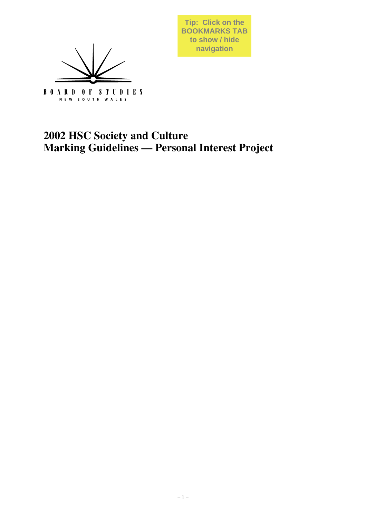

**Tip: Click on the BOOKMARKS TAB to show / hide navigation**

## **2002 HSC Society and Culture Marking Guidelines — Personal Interest Project**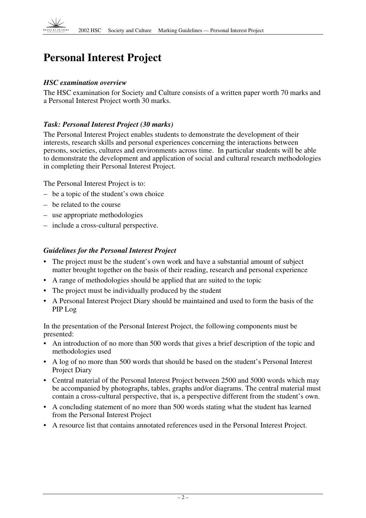## **Personal Interest Project**

#### *HSC examination overview*

The HSC examination for Society and Culture consists of a written paper worth 70 marks and a Personal Interest Project worth 30 marks.

## *Task: Personal Interest Project (30 marks)*

The Personal Interest Project enables students to demonstrate the development of their interests, research skills and personal experiences concerning the interactions between persons, societies, cultures and environments across time. In particular students will be able to demonstrate the development and application of social and cultural research methodologies in completing their Personal Interest Project.

The Personal Interest Project is to:

- be a topic of the student's own choice
- be related to the course
- use appropriate methodologies
- include a cross-cultural perspective.

#### *Guidelines for the Personal Interest Project*

- The project must be the student's own work and have a substantial amount of subject matter brought together on the basis of their reading, research and personal experience
- A range of methodologies should be applied that are suited to the topic
- The project must be individually produced by the student
- A Personal Interest Project Diary should be maintained and used to form the basis of the PIP Log

In the presentation of the Personal Interest Project, the following components must be presented:

- An introduction of no more than 500 words that gives a brief description of the topic and methodologies used
- A log of no more than 500 words that should be based on the student's Personal Interest Project Diary
- Central material of the Personal Interest Project between 2500 and 5000 words which may be accompanied by photographs, tables, graphs and/or diagrams. The central material must contain a cross-cultural perspective, that is, a perspective different from the student's own.
- A concluding statement of no more than 500 words stating what the student has learned from the Personal Interest Project
- A resource list that contains annotated references used in the Personal Interest Project.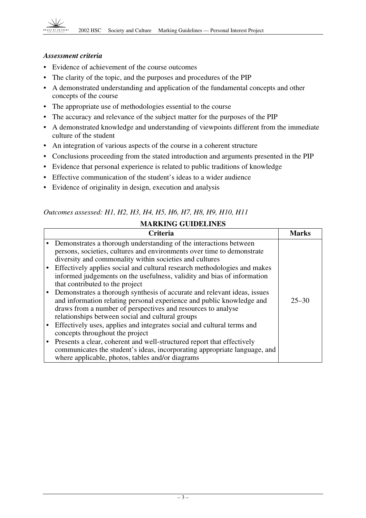#### *Assessment criteria*

- Evidence of achievement of the course outcomes
- The clarity of the topic, and the purposes and procedures of the PIP
- A demonstrated understanding and application of the fundamental concepts and other concepts of the course
- The appropriate use of methodologies essential to the course
- The accuracy and relevance of the subject matter for the purposes of the PIP
- A demonstrated knowledge and understanding of viewpoints different from the immediate culture of the student
- An integration of various aspects of the course in a coherent structure
- Conclusions proceeding from the stated introduction and arguments presented in the PIP
- Evidence that personal experience is related to public traditions of knowledge
- Effective communication of the student's ideas to a wider audience
- Evidence of originality in design, execution and analysis

## *Outcomes assessed: H1, H2, H3, H4, H5, H6, H7, H8, H9, H10, H11*

| <b>MARKING GUIDELINES</b> |                                                                                                                                                                                                                                                                       |              |
|---------------------------|-----------------------------------------------------------------------------------------------------------------------------------------------------------------------------------------------------------------------------------------------------------------------|--------------|
|                           | Criteria                                                                                                                                                                                                                                                              | <b>Marks</b> |
|                           | Demonstrates a thorough understanding of the interactions between<br>persons, societies, cultures and environments over time to demonstrate<br>diversity and commonality within societies and cultures                                                                |              |
|                           | Effectively applies social and cultural research methodologies and makes<br>informed judgements on the usefulness, validity and bias of information<br>that contributed to the project                                                                                |              |
|                           | Demonstrates a thorough synthesis of accurate and relevant ideas, issues<br>and information relating personal experience and public knowledge and<br>draws from a number of perspectives and resources to analyse<br>relationships between social and cultural groups | $25 - 30$    |
|                           | Effectively uses, applies and integrates social and cultural terms and<br>concepts throughout the project                                                                                                                                                             |              |
|                           | Presents a clear, coherent and well-structured report that effectively<br>communicates the student's ideas, incorporating appropriate language, and<br>where applicable, photos, tables and/or diagrams                                                               |              |